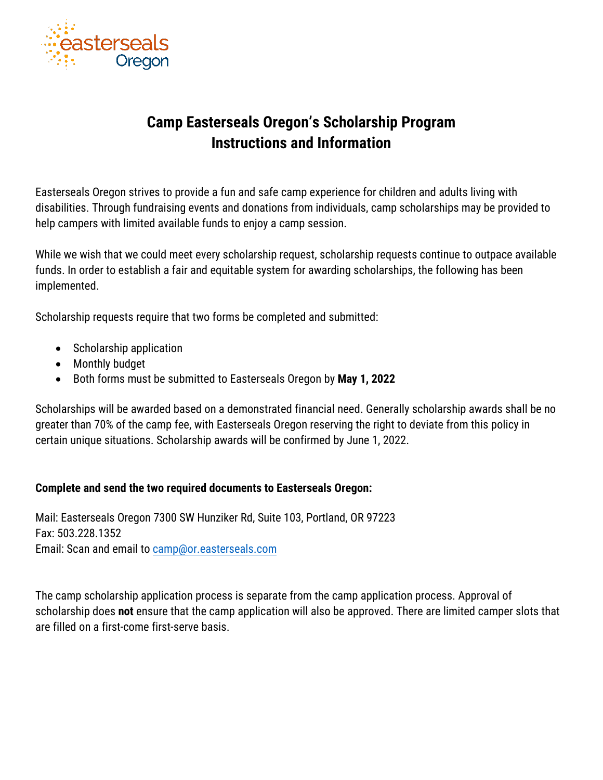

## **Camp Easterseals Oregon's Scholarship Program Instructions and Information**

Easterseals Oregon strives to provide a fun and safe camp experience for children and adults living with disabilities. Through fundraising events and donations from individuals, camp scholarships may be provided to help campers with limited available funds to enjoy a camp session.

While we wish that we could meet every scholarship request, scholarship requests continue to outpace available funds. In order to establish a fair and equitable system for awarding scholarships, the following has been implemented.

Scholarship requests require that two forms be completed and submitted:

- Scholarship application
- Monthly budget
- Both forms must be submitted to Easterseals Oregon by **May 1, 2022**

Scholarships will be awarded based on a demonstrated financial need. Generally scholarship awards shall be no greater than 70% of the camp fee, with Easterseals Oregon reserving the right to deviate from this policy in certain unique situations. Scholarship awards will be confirmed by June 1, 2022.

## **Complete and send the two required documents to Easterseals Oregon:**

Mail: Easterseals Oregon 7300 SW Hunziker Rd, Suite 103, Portland, OR 97223 Fax: 503.228.1352 Email: Scan and email to camp@or.easterseals.com

The camp scholarship application process is separate from the camp application process. Approval of scholarship does **not** ensure that the camp application will also be approved. There are limited camper slots that are filled on a first-come first-serve basis.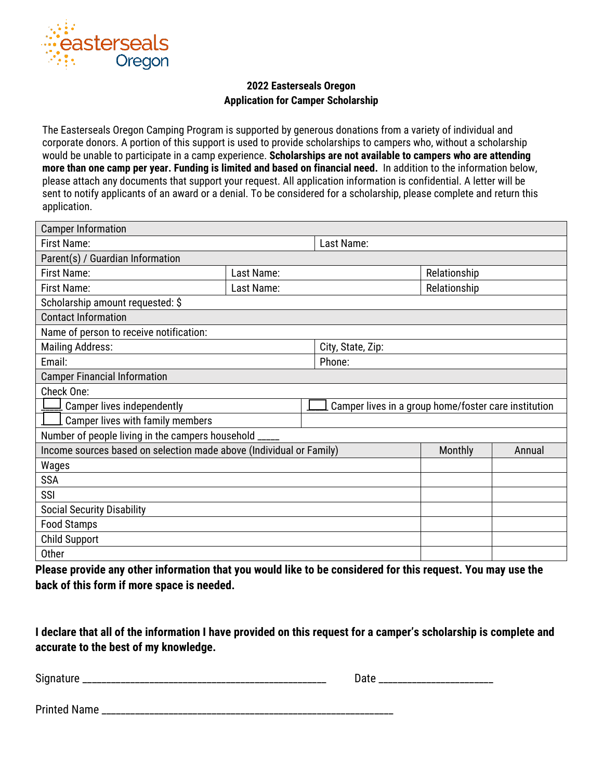

## **2022 Easterseals Oregon Application for Camper Scholarship**

The Easterseals Oregon Camping Program is supported by generous donations from a variety of individual and corporate donors. A portion of this support is used to provide scholarships to campers who, without a scholarship would be unable to participate in a camp experience. **Scholarships are not available to campers who are attending more than one camp per year. Funding is limited and based on financial need.** In addition to the information below, please attach any documents that support your request. All application information is confidential. A letter will be sent to notify applicants of an award or a denial. To be considered for a scholarship, please complete and return this application.

| <b>Camper Information</b>                                           |            |                                                      |                   |        |  |  |
|---------------------------------------------------------------------|------------|------------------------------------------------------|-------------------|--------|--|--|
| <b>First Name:</b>                                                  |            | Last Name:                                           |                   |        |  |  |
| Parent(s) / Guardian Information                                    |            |                                                      |                   |        |  |  |
| <b>First Name:</b>                                                  | Last Name: |                                                      | Relationship      |        |  |  |
| <b>First Name:</b>                                                  | Last Name: |                                                      | Relationship      |        |  |  |
| Scholarship amount requested: \$                                    |            |                                                      |                   |        |  |  |
| <b>Contact Information</b>                                          |            |                                                      |                   |        |  |  |
| Name of person to receive notification:                             |            |                                                      |                   |        |  |  |
| <b>Mailing Address:</b>                                             |            |                                                      | City, State, Zip: |        |  |  |
| Email:                                                              |            | Phone:                                               |                   |        |  |  |
| <b>Camper Financial Information</b>                                 |            |                                                      |                   |        |  |  |
| Check One:                                                          |            |                                                      |                   |        |  |  |
| Camper lives independently                                          |            | Camper lives in a group home/foster care institution |                   |        |  |  |
| Camper lives with family members                                    |            |                                                      |                   |        |  |  |
| Number of people living in the campers household _                  |            |                                                      |                   |        |  |  |
| Income sources based on selection made above (Individual or Family) |            |                                                      | Monthly           | Annual |  |  |
| Wages                                                               |            |                                                      |                   |        |  |  |
| <b>SSA</b>                                                          |            |                                                      |                   |        |  |  |
| SSI                                                                 |            |                                                      |                   |        |  |  |
| <b>Social Security Disability</b>                                   |            |                                                      |                   |        |  |  |
| <b>Food Stamps</b>                                                  |            |                                                      |                   |        |  |  |
| <b>Child Support</b>                                                |            |                                                      |                   |        |  |  |
| Other                                                               |            |                                                      |                   |        |  |  |

**Please provide any other information that you would like to be considered for this request. You may use the back of this form if more space is needed.** 

**I declare that all of the information I have provided on this request for a camper's scholarship is complete and accurate to the best of my knowledge.** 

| Signature<br>_______<br>______<br>______<br>____ | ___________<br>______ |
|--------------------------------------------------|-----------------------|
|--------------------------------------------------|-----------------------|

Printed Name \_\_\_\_\_\_\_\_\_\_\_\_\_\_\_\_\_\_\_\_\_\_\_\_\_\_\_\_\_\_\_\_\_\_\_\_\_\_\_\_\_\_\_\_\_\_\_\_\_\_\_\_\_\_\_\_\_\_\_\_\_